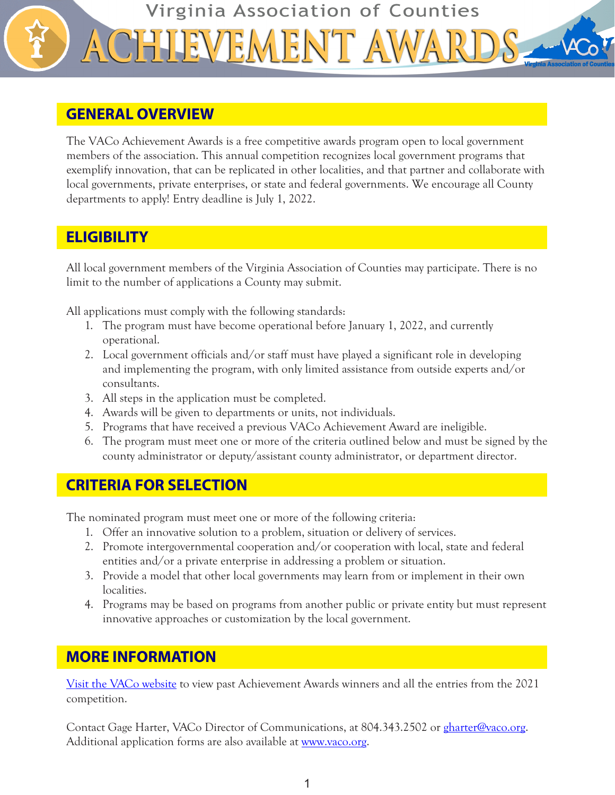

#### **GENERAL OVERVIEW**

The VACo Achievement Awards is a free competitive awards program open to local government members of the association. This annual competition recognizes local government programs that exemplify innovation, that can be replicated in other localities, and that partner and collaborate with local governments, private enterprises, or state and federal governments. We encourage all County departments to apply! Entry deadline is July 1, 2022.

# **ELIGIBILITY**

All local government members of the Virginia Association of Counties may participate. There is no limit to the number of applications a County may submit.

All applications must comply with the following standards:

- 1. The program must have become operational before January 1, 2022, and currently operational.
- 2. Local government officials and/or staff must have played a significant role in developing and implementing the program, with only limited assistance from outside experts and/or consultants.
- 3. All steps in the application must be completed.
- 4. Awards will be given to departments or units, not individuals.
- 5. Programs that have received a previous VACo Achievement Award are ineligible.
- 6. The program must meet one or more of the criteria outlined below and must be signed by the county administrator or deputy/assistant county administrator, or department director.

# **CRITERIA FOR SELECTION**

The nominated program must meet one or more of the following criteria:

- 1. Offer an innovative solution to a problem, situation or delivery of services.
- 2. Promote intergovernmental cooperation and/or cooperation with local, state and federal entities and/or a private enterprise in addressing a problem or situation.
- 3. Provide a model that other local governments may learn from or implement in their own localities.
- 4. Programs may be based on programs from another public or private entity but must represent innovative approaches or customization by the local government.

# **MORE INFORMATION**

[Visit the VACo website](https://www.vaco.org/county-profiles/achievement-awards/) to view past Achievement Awards winners and all the entries from the 2021 competition.

Contact Gage Harter, VACo Director of Communications, at 804.343.2502 or [gharter@vaco.org](mailto:gharter%40vaco.org?subject=). Additional application forms are also available at <u>www.vaco.org</u>.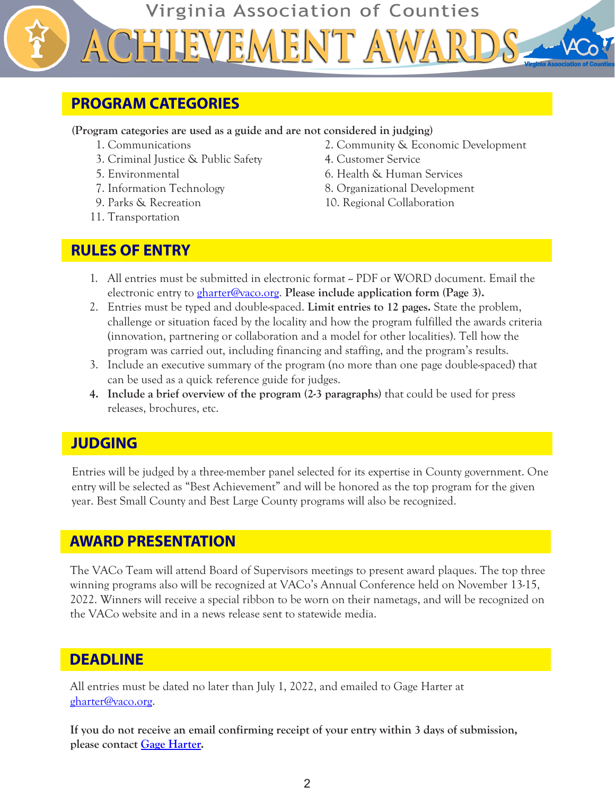Virginia Association of Counties EMENT AV

# **PROGRAM CATEGORIES**

**(Program categories are used as a guide and are not considered in judging)**

- 
- 3. Criminal Justice & Public Safety 4. Customer Service
- 
- 
- 
- 11. Transportation
- 1. Communications 2. Community & Economic Development
	-
- 5. Environmental 6. Health & Human Services
- 7. Information Technology 8. Organizational Development
- 9. Parks & Recreation 10. Regional Collaboration

#### **RULES OF ENTRY**

- 1. All entries must be submitted in electronic format PDF or WORD document. Email the electronic entry to [gharter@vaco.org.](mailto:gharter%40vaco.org?subject=) **Please include application form (Page 3).**
- 2. Entries must be typed and double-spaced. **Limit entries to 12 pages.** State the problem, challenge or situation faced by the locality and how the program fulfilled the awards criteria (innovation, partnering or collaboration and a model for other localities). Tell how the program was carried out, including financing and staffing, and the program's results.
- 3. Include an executive summary of the program (no more than one page double-spaced) that can be used as a quick reference guide for judges.
- **4. Include a brief overview of the program (2-3 paragraphs)** that could be used for press releases, brochures, etc.

# **JUDGING**

Entries will be judged by a three-member panel selected for its expertise in County government. One entry will be selected as "Best Achievement" and will be honored as the top program for the given year. Best Small County and Best Large County programs will also be recognized.

# **AWARD PRESENTATION**

The VACo Team will attend Board of Supervisors meetings to present award plaques. The top three winning programs also will be recognized at VACo's Annual Conference held on November 13-15, 2022. Winners will receive a special ribbon to be worn on their nametags, and will be recognized on the VACo website and in a news release sent to statewide media.

#### **DEADLINE**

All entries must be dated no later than July 1, 2022, and emailed to Gage Harter at [gharter@vaco.org.](mailto:gharter%40vaco.org?subject=)

**If you do not receive an email confirming receipt of your entry within 3 days of submission, please contact [Gage Harter.](mailto:gharter%40vaco.org?subject=)**